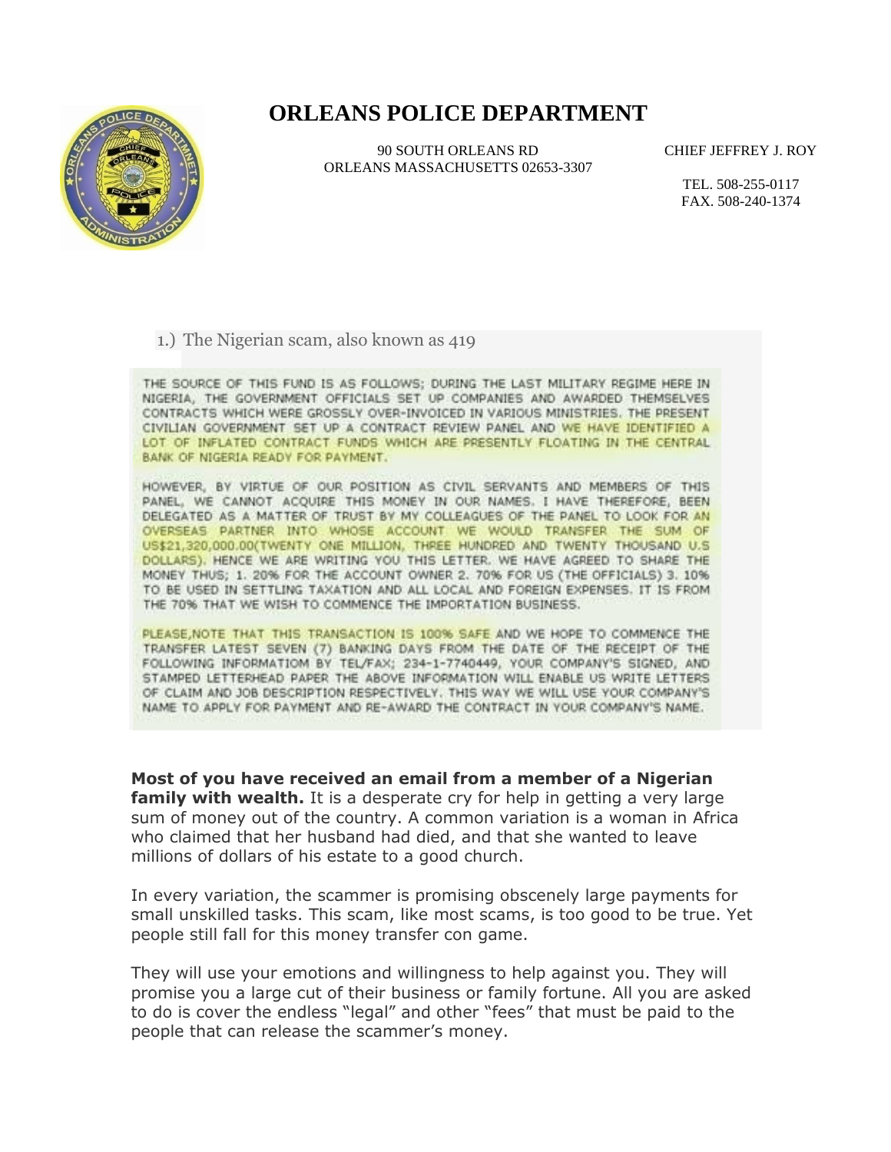## **ORLEANS POLICE DEPARTMENT**



90 SOUTH ORLEANS RD ORLEANS MASSACHUSETTS 02653-3307 CHIEF JEFFREY J. ROY

TEL. 508-255-0117 FAX. 508-240-1374

1.) The Nigerian scam, also known as 419

THE SOURCE OF THIS FUND IS AS FOLLOWS; DURING THE LAST MILITARY REGIME HERE IN NIGERIA, THE GOVERNMENT OFFICIALS SET UP COMPANIES AND AWARDED THEMSELVES CONTRACTS WHICH WERE GROSSLY OVER-INVOICED IN VARIOUS MINISTRIES. THE PRESENT CIVILIAN GOVERNMENT SET UP A CONTRACT REVIEW PANEL AND WE HAVE IDENTIFIED A LOT OF INFLATED CONTRACT FUNDS WHICH ARE PRESENTLY FLOATING IN THE CENTRAL BANK OF NIGERIA READY FOR PAYMENT.

HOWEVER, BY VIRTUE OF OUR POSITION AS CIVIL SERVANTS AND MEMBERS OF THIS PANEL, WE CANNOT ACQUIRE THIS MONEY IN OUR NAMES. I HAVE THEREFORE, BEEN DELEGATED AS A MATTER OF TRUST BY MY COLLEAGUES OF THE PANEL TO LOOK FOR AN OVERSEAS PARTNER INTO WHOSE ACCOUNT WE WOULD TRANSFER THE SUM OF US\$21,320,000.00(TWENTY ONE MILLION, THREE HUNDRED AND TWENTY THOUSAND U.S. DOLLARS). HENCE WE ARE WRITING YOU THIS LETTER. WE HAVE AGREED TO SHARE THE MONEY THUS; 1. 20% FOR THE ACCOUNT OWNER 2. 70% FOR US (THE OFFICIALS) 3. 10% TO BE USED IN SETTLING TAXATION AND ALL LOCAL AND FOREIGN EXPENSES. IT IS FROM THE 70% THAT WE WISH TO COMMENCE THE IMPORTATION BUSINESS.

PLEASE, NOTE THAT THIS TRANSACTION IS 100% SAFE AND WE HOPE TO COMMENCE THE TRANSFER LATEST SEVEN (7) BANKING DAYS FROM THE DATE OF THE RECEIPT OF THE FOLLOWING INFORMATIOM BY TEL/FAX; 234-1-7740449, YOUR COMPANY'S SIGNED, AND STAMPED LETTERHEAD PAPER THE ABOVE INFORMATION WILL ENABLE US WRITE LETTERS OF CLAIM AND JOB DESCRIPTION RESPECTIVELY. THIS WAY WE WILL USE YOUR COMPANY'S NAME TO APPLY FOR PAYMENT AND RE-AWARD THE CONTRACT IN YOUR COMPANY'S NAME.

**Most of you have received an email from a member of a Nigerian family with wealth.** It is a desperate cry for help in getting a very large sum of money out of the country. A common variation is a woman in Africa who claimed that her husband had died, and that she wanted to leave millions of dollars of his estate to a good church.

In every variation, the scammer is promising obscenely large payments for small unskilled tasks. This scam, like most scams, is too good to be true. Yet people still fall for this money transfer con game.

They will use your emotions and willingness to help against you. They will promise you a large cut of their business or family fortune. All you are asked to do is cover the endless "legal" and other "fees" that must be paid to the people that can release the scammer's money.